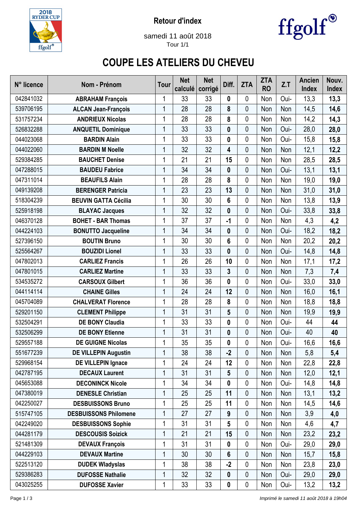

**Retour d'index**



samedi 11 août 2018 Tour 1/1

## **COUPE LES ATELIERS DU CHEVEU**

| N° licence | Nom - Prénom                 | <b>Tour</b>  | <b>Net</b><br>calculé | <b>Net</b><br>corrigé | Diff. | <b>ZTA</b>  | <b>ZTA</b><br><b>RO</b> | Z.T  | <b>Ancien</b><br><b>Index</b> | Nouv.<br>Index |
|------------|------------------------------|--------------|-----------------------|-----------------------|-------|-------------|-------------------------|------|-------------------------------|----------------|
| 042841032  | <b>ABRAHAM François</b>      | 1            | 33                    | 33                    | 0     | 0           | Non                     | Oui- | 13,3                          | 13,3           |
| 539706195  | <b>ALCAN Jean-François</b>   | 1            | 28                    | 28                    | 8     | 0           | Non                     | Non  | 14,5                          | 14,6           |
| 531757234  | <b>ANDRIEUX Nicolas</b>      | 1            | 28                    | 28                    | 8     | 0           | Non                     | Non  | 14,2                          | 14,3           |
| 526832288  | <b>ANQUETIL Dominique</b>    | 1            | 33                    | 33                    | 0     | $\mathbf 0$ | Non                     | Oui- | 28,0                          | 28,0           |
| 044023068  | <b>BARDIN Alain</b>          | 1            | 33                    | 33                    | 0     | 0           | Non                     | Oui- | 15,8                          | 15,8           |
| 044022060  | <b>BARDIN M Noelle</b>       | 1            | 32                    | 32                    | 4     | 0           | Non                     | Non  | 12,1                          | 12,2           |
| 529384285  | <b>BAUCHET Denise</b>        | 1            | 21                    | 21                    | 15    | 0           | Non                     | Non  | 28,5                          | 28,5           |
| 047288015  | <b>BAUDEU Fabrice</b>        | 1            | 34                    | 34                    | 0     | 0           | Non                     | Oui- | 13,1                          | 13,1           |
| 047311014  | <b>BEAUFILS Alain</b>        | 1            | 28                    | 28                    | 8     | 0           | Non                     | Non  | 19,0                          | 19,0           |
| 049139208  | <b>BERENGER Patricia</b>     | 1            | 23                    | 23                    | 13    | 0           | Non                     | Non  | 31,0                          | 31,0           |
| 518304239  | <b>BEUVIN GATTA Cécilia</b>  | 1            | 30                    | 30                    | 6     | 0           | Non                     | Non  | 13,8                          | 13,9           |
| 525918198  | <b>BLAYAC Jacques</b>        | 1            | 32                    | 32                    | 0     | 0           | Non                     | Oui- | 33,8                          | 33,8           |
| 046370128  | <b>BOHET - BAR Thomas</b>    | 1            | 37                    | 37                    | $-1$  | 0           | Non                     | Non  | 4,3                           | 4,2            |
| 044224103  | <b>BONUTTO Jacqueline</b>    | 1            | 34                    | 34                    | 0     | $\mathbf 0$ | Non                     | Oui- | 18,2                          | 18,2           |
| 527396150  | <b>BOUTIN Bruno</b>          | 1            | 30                    | 30                    | 6     | 0           | Non                     | Non  | 20,2                          | 20,2           |
| 525564267  | <b>BOUZIDI Lionel</b>        | 1            | 33                    | 33                    | 0     | 0           | Non                     | Oui- | 14,8                          | 14,8           |
| 047802013  | <b>CARLIEZ Francis</b>       | 1            | 26                    | 26                    | 10    | 0           | Non                     | Non  | 17,1                          | 17,2           |
| 047801015  | <b>CARLIEZ Martine</b>       | 1            | 33                    | 33                    | 3     | 0           | Non                     | Non  | 7,3                           | 7,4            |
| 534535272  | <b>CARSOUX Gilbert</b>       | 1            | 36                    | 36                    | 0     | 0           | Non                     | Oui- | 33,0                          | 33,0           |
| 044114114  | <b>CHAINE Gilles</b>         | $\mathbf{1}$ | 24                    | 24                    | 12    | 0           | Non                     | Non  | 16,0                          | 16,1           |
| 045704089  | <b>CHALVERAT Florence</b>    | 1            | 28                    | 28                    | 8     | 0           | Non                     | Non  | 18,8                          | 18,8           |
| 529201150  | <b>CLEMENT Philippe</b>      | $\mathbf{1}$ | 31                    | 31                    | 5     | 0           | Non                     | Non  | 19,9                          | 19,9           |
| 532504291  | <b>DE BONY Claudia</b>       | 1            | 33                    | 33                    | 0     | 0           | Non                     | Oui- | 44                            | 44             |
| 532506299  | <b>DE BONY Etienne</b>       | 1            | 31                    | 31                    | 0     | 0           | Non                     | Oui- | 40                            | 40             |
| 529557188  | <b>DE GUIGNE Nicolas</b>     |              | 35                    | 35                    | 0     | 0           | Non                     | Oui- | 16,6                          | 16,6           |
| 551677239  | <b>DE VILLEPIN Augustin</b>  | 1            | 38                    | 38                    | $-2$  | 0           | Non                     | Non  | 5,8                           | 5,4            |
| 529968154  | DE VILLEPIN Ignace           | 1            | 24                    | 24                    | 12    | $\mathbf 0$ | Non                     | Non  | 22,8                          | 22,8           |
| 042787195  | <b>DECAUX Laurent</b>        | 1            | 31                    | 31                    | 5     | 0           | Non                     | Non  | 12,0                          | 12,1           |
| 045653088  | <b>DECONINCK Nicole</b>      | 1            | 34                    | 34                    | 0     | 0           | Non                     | Oui- | 14,8                          | 14,8           |
| 047380019  | <b>DENESLE Christian</b>     | 1            | 25                    | 25                    | 11    | 0           | Non                     | Non  | 13,1                          | 13,2           |
| 042250027  | <b>DESBUISSONS Bruno</b>     | 1            | 25                    | 25                    | 11    | 0           | Non                     | Non  | 14,5                          | 14,6           |
| 515747105  | <b>DESBUISSONS Philomene</b> | 1            | 27                    | 27                    | 9     | 0           | Non                     | Non  | 3,9                           | 4,0            |
| 042249020  | <b>DESBUISSONS Sophie</b>    | 1            | 31                    | 31                    | 5     | 0           | Non                     | Non  | 4,6                           | 4,7            |
| 044281179  | <b>DESCOUSIS Soizick</b>     | 1            | 21                    | 21                    | 15    | 0           | Non                     | Non  | 23,2                          | 23,2           |
| 521481309  | <b>DEVAUX François</b>       | 1            | 31                    | 31                    | 0     | 0           | Non                     | Oui- | 29,0                          | 29,0           |
| 044229103  | <b>DEVAUX Martine</b>        | 1            | 30                    | 30                    | 6     | 0           | Non                     | Non  | 15,7                          | 15,8           |
| 522513120  | <b>DUDEK Wladyslas</b>       | 1            | 38                    | 38                    | $-2$  | $\mathbf 0$ | Non                     | Non  | 23,8                          | 23,0           |
| 529386283  | <b>DUFOSSE Nathalie</b>      | 1            | 32                    | 32                    | 0     | 0           | Non                     | Oui- | 29,0                          | 29,0           |
| 043025255  | <b>DUFOSSE Xavier</b>        | 1            | 33                    | 33                    | 0     | 0           | Non                     | Oui- | 13,2                          | 13,2           |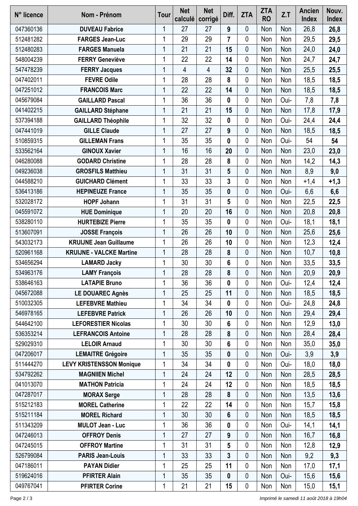| N° licence | Nom - Prénom                    | <b>Tour</b> | <b>Net</b><br>calculé | <b>Net</b><br>corrigé | Diff.            | <b>ZTA</b>  | <b>ZTA</b><br><b>RO</b> | Z.T  | <b>Ancien</b><br><b>Index</b> | Nouv.<br><b>Index</b> |
|------------|---------------------------------|-------------|-----------------------|-----------------------|------------------|-------------|-------------------------|------|-------------------------------|-----------------------|
| 047360136  | <b>DUVEAU Fabrice</b>           | 1           | 27                    | 27                    | 9                | 0           | Non                     | Non  | 26,8                          | 26,8                  |
| 512481282  | <b>FARGES Jean-Luc</b>          | 1           | 29                    | 29                    | $\overline{7}$   | 0           | Non                     | Non  | 29,5                          | 29,5                  |
| 512480283  | <b>FARGES Manuela</b>           | 1           | 21                    | 21                    | 15               | $\mathbf 0$ | Non                     | Non  | 24,0                          | 24,0                  |
| 548004239  | <b>FERRY Geneviève</b>          | 1           | 22                    | 22                    | 14               | 0           | Non                     | Non  | 24,7                          | 24,7                  |
| 547478239  | <b>FERRY Jacques</b>            | 1           | 4                     | 4                     | 32               | 0           | Non                     | Non  | 25,5                          | 25,5                  |
| 047402011  | <b>FEVRE Odile</b>              | 1           | 28                    | 28                    | 8                | 0           | Non                     | Non  | 18,5                          | 18,5                  |
| 047251012  | <b>FRANCOIS Marc</b>            | 1           | 22                    | 22                    | 14               | 0           | Non                     | Non  | 18,5                          | 18,5                  |
| 045679084  | <b>GAILLARD Pascal</b>          | 1           | 36                    | 36                    | 0                | 0           | Non                     | Oui- | 7,8                           | 7,8                   |
| 041402215  | <b>GAILLARD Stéphane</b>        | 1           | 21                    | 21                    | 15               | 0           | Non                     | Non  | 17,8                          | 17,9                  |
| 537394188  | <b>GAILLARD Théophile</b>       | 1           | 32                    | 32                    | 0                | 0           | Non                     | Oui- | 24,4                          | 24,4                  |
| 047441019  | <b>GILLE Claude</b>             | 1           | 27                    | 27                    | 9                | 0           | Non                     | Non  | 18,5                          | 18,5                  |
| 510859315  | <b>GILLEMAN Frans</b>           |             | 35                    | 35                    | 0                | 0           | Non                     | Oui- | 54                            | 54                    |
| 533562164  | <b>GINOUX Xavier</b>            | 1           | 16                    | 16                    | 20               | 0           | Non                     | Non  | 23,0                          | 23,0                  |
| 046280088  | <b>GODARD Christine</b>         | 1           | 28                    | 28                    | 8                | 0           | Non                     | Non  | 14,2                          | 14,3                  |
| 049236038  | <b>GROSFILS Matthieu</b>        | 1           | 31                    | 31                    | 5                | 0           | Non                     | Non  | 8,9                           | 9,0                   |
| 044588210  | <b>GUICHARD Clément</b>         | 1           | 33                    | 33                    | 3                | 0           | Non                     | Non  | $+1,4$                        | $+1,3$                |
| 536413186  | <b>HEPINEUZE France</b>         | 1           | 35                    | 35                    | 0                | 0           | Non                     | Oui- | 6,6                           | 6,6                   |
| 532028172  | <b>HOPF Johann</b>              | 1           | 31                    | 31                    | 5                | 0           | Non                     | Non  | 22,5                          | 22,5                  |
| 045591072  | <b>HUE Dominique</b>            | 1           | 20                    | 20                    | 16               | $\mathbf 0$ | Non                     | Non  | 20,8                          | 20,8                  |
| 538280110  | <b>HURTEBIZE Pierre</b>         | 1           | 35                    | 35                    | 0                | 0           | Non                     | Oui- | 18,1                          | 18,1                  |
| 513607091  | <b>JOSSE François</b>           | 1           | 26                    | 26                    | 10               | 0           | Non                     | Non  | 25,6                          | 25,6                  |
| 543032173  | <b>KRUIJNE Jean Guillaume</b>   | 1           | 26                    | 26                    | 10               | 0           | Non                     | Non  | 12,3                          | 12,4                  |
| 520961168  | <b>KRUIJNE - VALCKE Martine</b> | 1           | 28                    | 28                    | 8                | 0           | Non                     | Non  | 10,7                          | 10,8                  |
| 534656294  | <b>LAMARD Jacky</b>             | 1           | 30                    | 30                    | 6                | 0           | Non                     | Non  | 33,5                          | 33,5                  |
| 534963176  | <b>LAMY François</b>            | 1           | 28                    | 28                    | 8                | 0           | Non                     | Non  | 20,9                          | 20,9                  |
| 538646163  | <b>LATAPIE Bruno</b>            | 1           | 36                    | 36                    | 0                | 0           | Non                     | Oui- | 12,4                          | 12,4                  |
| 045672088  | <b>LE DOUAREC Agnès</b>         | 1           | 25                    | 25                    | 11               | 0           | Non                     | Non  | 18,5                          | 18,5                  |
| 510032305  | <b>LEFEBVRE Mathieu</b>         | 1           | 34                    | 34                    | 0                | 0           | Non                     | Oui- | 24,8                          | 24,8                  |
| 546978165  | <b>LEFEBVRE Patrick</b>         | 1           | 26                    | 26                    | 10               | 0           | Non                     | Non  | 29,4                          | 29,4                  |
| 544642100  | <b>LEFORESTIER Nicolas</b>      | 1           | 30                    | 30                    | 6                | 0           | Non                     | Non  | 12,9                          | 13,0                  |
| 536353214  | <b>LEFRANCOIS Antoine</b>       | 1           | 28                    | 28                    | 8                | 0           | Non                     | Non  | 28,4                          | 28,4                  |
| 529029310  | <b>LELOIR Arnaud</b>            | 1           | 30                    | 30                    | 6                | 0           | Non                     | Non  | 35,0                          | 35,0                  |
| 047206017  | <b>LEMAITRE Grégoire</b>        | 1           | 35                    | 35                    | $\boldsymbol{0}$ | 0           | Non                     | Oui- | 3,9                           | 3,9                   |
| 511444270  | <b>LEVY KRISTENSSON Monique</b> | 1           | 34                    | 34                    | 0                | 0           | Non                     | Oui- | 18,0                          | 18,0                  |
| 534792262  | <b>MAGNIIEN Michel</b>          | 1           | 24                    | 24                    | 12               | $\mathbf 0$ | Non                     | Non  | 28,5                          | 28,5                  |
| 041013070  | <b>MATHON Patricia</b>          | 1           | 24                    | 24                    | 12               | 0           | Non                     | Non  | 18,5                          | 18,5                  |
| 047287017  | <b>MORAX Serge</b>              | 1           | 28                    | 28                    | $\boldsymbol{8}$ | 0           | Non                     | Non  | 13,5                          | 13,6                  |
| 515212183  | <b>MOREL Catherine</b>          | 1           | 22                    | 22                    | 14               | 0           | Non                     | Non  | 15,7                          | 15,8                  |
| 515211184  | <b>MOREL Richard</b>            | 1           | 30                    | 30                    | 6                | 0           | Non                     | Non  | 18,5                          | 18,5                  |
| 511343209  | <b>MULOT Jean - Luc</b>         | 1           | 36                    | 36                    | 0                | 0           | Non                     | Oui- | 14,1                          | 14,1                  |
| 047246013  | <b>OFFROY Denis</b>             | 1           | 27                    | 27                    | 9                | $\mathbf 0$ | Non                     | Non  | 16,7                          | 16,8                  |
| 047245015  | <b>OFFROY Martine</b>           | 1           | 31                    | 31                    | 5                | 0           | Non                     | Non  | 12,8                          | 12,9                  |
| 526799084  | <b>PARIS Jean-Louis</b>         | 1           | 33                    | 33                    | 3                | 0           | Non                     | Non  | 9,2                           | 9,3                   |
| 047186011  | <b>PAYAN Didier</b>             | 1           | 25                    | 25                    | 11               | 0           | Non                     | Non  | 17,0                          | 17,1                  |
| 519624016  | <b>PFIRTER Alain</b>            | 1           | 35                    | 35                    | 0                | 0           | Non                     | Oui- | 15,6                          | 15,6                  |
| 049767041  | <b>PFIRTER Corine</b>           | 1           | 21                    | 21                    | 15               | $\pmb{0}$   | Non                     | Non  | 15,0                          | 15,1                  |